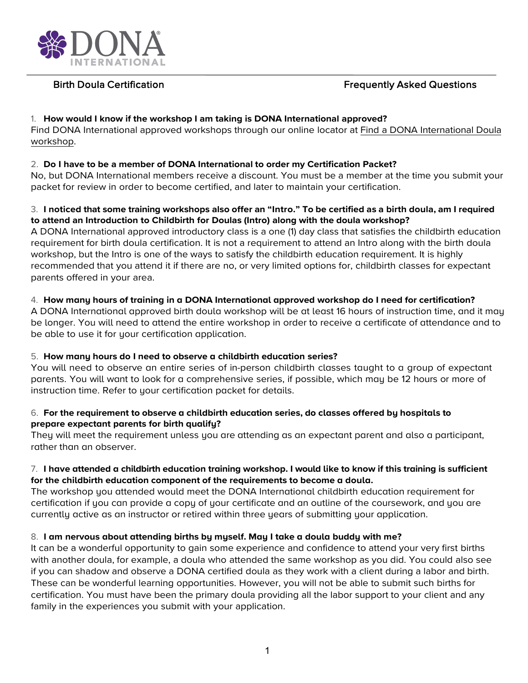

# Birth Doula Certification **Figure 2018** Frequently Asked Questions

# 1. **How would I know if the workshop I am taking is DONA International approved?**

Find DONA International approved workshops through our online locator at Find a DONA International Doula workshop.

# 2. **Do I have to be a member of DONA International to order my Certification Packet?**

No, but DONA International members receive a discount. You must be a member at the time you submit your packet for review in order to become certified, and later to maintain your certification.

# 3. **I noticed that some training workshops also offer an "Intro." To be certified as a birth doula, am I required to attend an Introduction to Childbirth for Doulas (Intro) along with the doula workshop?**

A DONA International approved introductory class is a one (1) day class that satisfies the childbirth education requirement for birth doula certification. It is not a requirement to attend an Intro along with the birth doula workshop, but the Intro is one of the ways to satisfy the childbirth education requirement. It is highly recommended that you attend it if there are no, or very limited options for, childbirth classes for expectant parents offered in your area.

# 4. **How many hours of training in a DONA International approved workshop do I need for certification?**

A DONA International approved birth doula workshop will be at least 16 hours of instruction time, and it may be longer. You will need to attend the entire workshop in order to receive a certificate of attendance and to be able to use it for your certification application.

# 5. **How many hours do I need to observe a childbirth education series?**

You will need to observe an entire series of in-person childbirth classes taught to a group of expectant parents. You will want to look for a comprehensive series, if possible, which may be 12 hours or more of instruction time. Refer to your certification packet for details.

#### 6. **For the requirement to observe a childbirth education series, do classes offered by hospitals to prepare expectant parents for birth qualify?**

They will meet the requirement unless you are attending as an expectant parent and also a participant, rather than an observer.

#### 7. **I have attended a childbirth education training workshop. I would like to know if this training is sufficient for the childbirth education component of the requirements to become a doula.**

The workshop you attended would meet the DONA International childbirth education requirement for certification if you can provide a copy of your certificate and an outline of the coursework, and you are currently active as an instructor or retired within three years of submitting your application.

# 8. **I am nervous about attending births by myself. May I take a doula buddy with me?**

It can be a wonderful opportunity to gain some experience and confidence to attend your very first births with another doula, for example, a doula who attended the same workshop as you did. You could also see if you can shadow and observe a DONA certified doula as they work with a client during a labor and birth. These can be wonderful learning opportunities. However, you will not be able to submit such births for certification. You must have been the primary doula providing all the labor support to your client and any family in the experiences you submit with your application.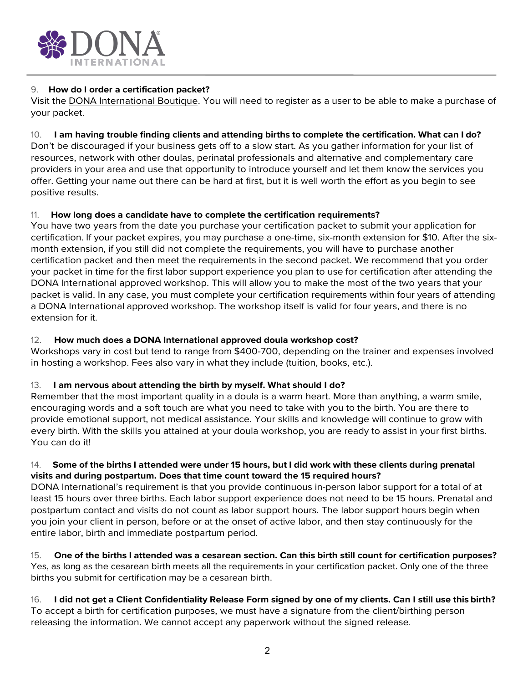

# 9. **How do I order a certification packet?**

Visit the DONA International Boutique. You will need to register as a user to be able to make a purchase of your packet.

# 10. **I am having trouble finding clients and attending births to complete the certification. What can I do?**

Don't be discouraged if your business gets off to a slow start. As you gather information for your list of resources, network with other doulas, perinatal professionals and alternative and complementary care providers in your area and use that opportunity to introduce yourself and let them know the services you offer. Getting your name out there can be hard at first, but it is well worth the effort as you begin to see positive results.

# 11. **How long does a candidate have to complete the certification requirements?**

You have two years from the date you purchase your certification packet to submit your application for certification. If your packet expires, you may purchase a one-time, six-month extension for \$10. After the sixmonth extension, if you still did not complete the requirements, you will have to purchase another certification packet and then meet the requirements in the second packet. We recommend that you order your packet in time for the first labor support experience you plan to use for certification after attending the DONA International approved workshop. This will allow you to make the most of the two years that your packet is valid. In any case, you must complete your certification requirements within four years of attending a DONA International approved workshop. The workshop itself is valid for four years, and there is no extension for it.

# 12. **How much does a DONA International approved doula workshop cost?**

Workshops vary in cost but tend to range from \$400-700, depending on the trainer and expenses involved in hosting a workshop. Fees also vary in what they include (tuition, books, etc.).

# 13. **I am nervous about attending the birth by myself. What should I do?**

Remember that the most important quality in a doula is a warm heart. More than anything, a warm smile, encouraging words and a soft touch are what you need to take with you to the birth. You are there to provide emotional support, not medical assistance. Your skills and knowledge will continue to grow with every birth. With the skills you attained at your doula workshop, you are ready to assist in your first births. You can do it!

# 14. **Some of the births I attended were under 15 hours, but I did work with these clients during prenatal visits and during postpartum. Does that time count toward the 15 required hours?**

DONA International's requirement is that you provide continuous in-person labor support for a total of at least 15 hours over three births. Each labor support experience does not need to be 15 hours. Prenatal and postpartum contact and visits do not count as labor support hours. The labor support hours begin when you join your client in person, before or at the onset of active labor, and then stay continuously for the entire labor, birth and immediate postpartum period.

15. **One of the births I attended was a cesarean section. Can this birth still count for certification purposes?** Yes, as long as the cesarean birth meets all the requirements in your certification packet. Only one of the three births you submit for certification may be a cesarean birth.

16. **I did not get a Client Confidentiality Release Form signed by one of my clients. Can I still use this birth?** To accept a birth for certification purposes, we must have a signature from the client/birthing person releasing the information. We cannot accept any paperwork without the signed release.